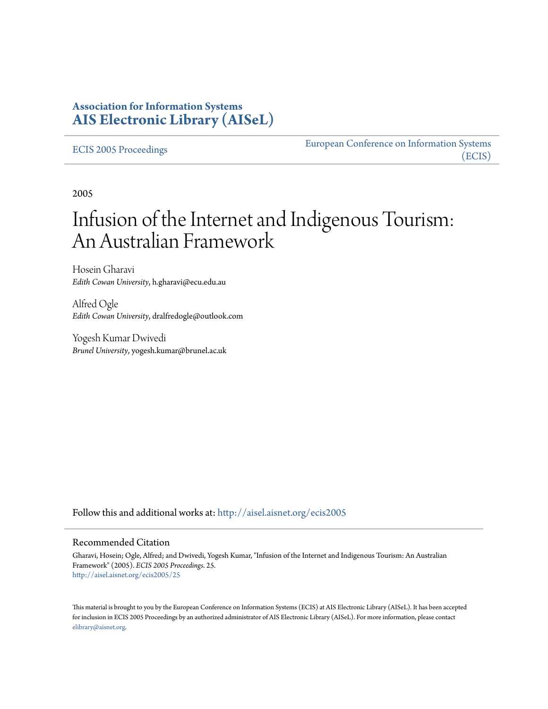# **Association for Information Systems [AIS Electronic Library \(AISeL\)](http://aisel.aisnet.org?utm_source=aisel.aisnet.org%2Fecis2005%2F25&utm_medium=PDF&utm_campaign=PDFCoverPages)**

#### [ECIS 2005 Proceedings](http://aisel.aisnet.org/ecis2005?utm_source=aisel.aisnet.org%2Fecis2005%2F25&utm_medium=PDF&utm_campaign=PDFCoverPages)

[European Conference on Information Systems](http://aisel.aisnet.org/ecis?utm_source=aisel.aisnet.org%2Fecis2005%2F25&utm_medium=PDF&utm_campaign=PDFCoverPages) [\(ECIS\)](http://aisel.aisnet.org/ecis?utm_source=aisel.aisnet.org%2Fecis2005%2F25&utm_medium=PDF&utm_campaign=PDFCoverPages)

2005

# Infusion of the Internet and Indigenous Tourism: An Australian Framework

Hosein Gharavi *Edith Cowan University*, h.gharavi@ecu.edu.au

Alfred Ogle *Edith Cowan University*, dralfredogle@outlook.com

Yogesh Kumar Dwivedi *Brunel University*, yogesh.kumar@brunel.ac.uk

Follow this and additional works at: [http://aisel.aisnet.org/ecis2005](http://aisel.aisnet.org/ecis2005?utm_source=aisel.aisnet.org%2Fecis2005%2F25&utm_medium=PDF&utm_campaign=PDFCoverPages)

#### Recommended Citation

Gharavi, Hosein; Ogle, Alfred; and Dwivedi, Yogesh Kumar, "Infusion of the Internet and Indigenous Tourism: An Australian Framework" (2005). *ECIS 2005 Proceedings*. 25. [http://aisel.aisnet.org/ecis2005/25](http://aisel.aisnet.org/ecis2005/25?utm_source=aisel.aisnet.org%2Fecis2005%2F25&utm_medium=PDF&utm_campaign=PDFCoverPages)

This material is brought to you by the European Conference on Information Systems (ECIS) at AIS Electronic Library (AISeL). It has been accepted for inclusion in ECIS 2005 Proceedings by an authorized administrator of AIS Electronic Library (AISeL). For more information, please contact [elibrary@aisnet.org.](mailto:elibrary@aisnet.org%3E)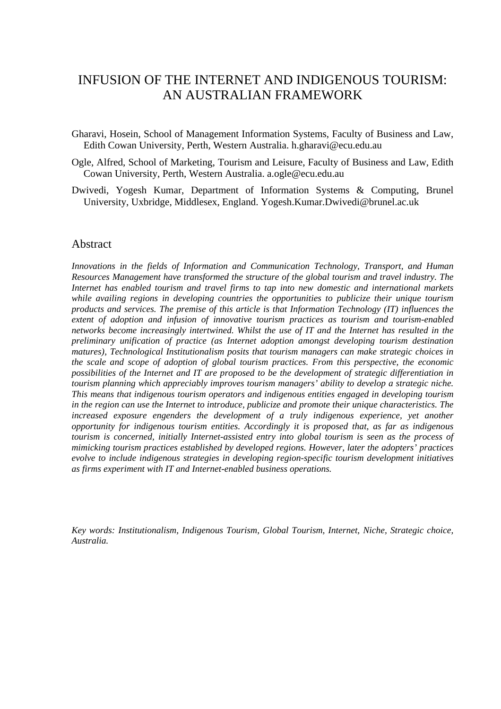# INFUSION OF THE INTERNET AND INDIGENOUS TOURISM: AN AUSTRALIAN FRAMEWORK

- Gharavi, Hosein, School of Management Information Systems, Faculty of Business and Law, Edith Cowan University, Perth, Western Australia. h.gharavi@ecu.edu.au
- Ogle, Alfred, School of Marketing, Tourism and Leisure, Faculty of Business and Law, Edith Cowan University, Perth, Western Australia. a.ogle@ecu.edu.au
- Dwivedi, Yogesh Kumar, Department of Information Systems & Computing, Brunel University, Uxbridge, Middlesex, England. Yogesh.Kumar.Dwivedi@brunel.ac.uk

#### Abstract

*Innovations in the fields of Information and Communication Technology, Transport, and Human Resources Management have transformed the structure of the global tourism and travel industry. The Internet has enabled tourism and travel firms to tap into new domestic and international markets while availing regions in developing countries the opportunities to publicize their unique tourism products and services. The premise of this article is that Information Technology (IT) influences the extent of adoption and infusion of innovative tourism practices as tourism and tourism-enabled networks become increasingly intertwined. Whilst the use of IT and the Internet has resulted in the preliminary unification of practice (as Internet adoption amongst developing tourism destination matures), Technological Institutionalism posits that tourism managers can make strategic choices in the scale and scope of adoption of global tourism practices. From this perspective, the economic possibilities of the Internet and IT are proposed to be the development of strategic differentiation in tourism planning which appreciably improves tourism managers' ability to develop a strategic niche. This means that indigenous tourism operators and indigenous entities engaged in developing tourism in the region can use the Internet to introduce, publicize and promote their unique characteristics. The increased exposure engenders the development of a truly indigenous experience, yet another opportunity for indigenous tourism entities. Accordingly it is proposed that, as far as indigenous tourism is concerned, initially Internet-assisted entry into global tourism is seen as the process of mimicking tourism practices established by developed regions. However, later the adopters' practices evolve to include indigenous strategies in developing region-specific tourism development initiatives as firms experiment with IT and Internet-enabled business operations.* 

*Key words: Institutionalism, Indigenous Tourism, Global Tourism, Internet, Niche, Strategic choice, Australia.*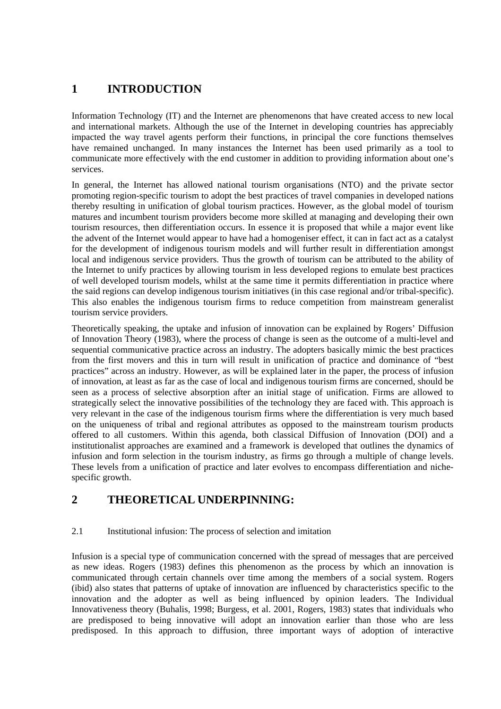# **1 INTRODUCTION**

Information Technology (IT) and the Internet are phenomenons that have created access to new local and international markets. Although the use of the Internet in developing countries has appreciably impacted the way travel agents perform their functions, in principal the core functions themselves have remained unchanged. In many instances the Internet has been used primarily as a tool to communicate more effectively with the end customer in addition to providing information about one's services.

In general, the Internet has allowed national tourism organisations (NTO) and the private sector promoting region-specific tourism to adopt the best practices of travel companies in developed nations thereby resulting in unification of global tourism practices. However, as the global model of tourism matures and incumbent tourism providers become more skilled at managing and developing their own tourism resources, then differentiation occurs. In essence it is proposed that while a major event like the advent of the Internet would appear to have had a homogeniser effect, it can in fact act as a catalyst for the development of indigenous tourism models and will further result in differentiation amongst local and indigenous service providers. Thus the growth of tourism can be attributed to the ability of the Internet to unify practices by allowing tourism in less developed regions to emulate best practices of well developed tourism models, whilst at the same time it permits differentiation in practice where the said regions can develop indigenous tourism initiatives (in this case regional and/or tribal-specific). This also enables the indigenous tourism firms to reduce competition from mainstream generalist tourism service providers.

Theoretically speaking, the uptake and infusion of innovation can be explained by Rogers' Diffusion of Innovation Theory (1983), where the process of change is seen as the outcome of a multi-level and sequential communicative practice across an industry. The adopters basically mimic the best practices from the first movers and this in turn will result in unification of practice and dominance of "best practices" across an industry. However, as will be explained later in the paper, the process of infusion of innovation, at least as far as the case of local and indigenous tourism firms are concerned, should be seen as a process of selective absorption after an initial stage of unification. Firms are allowed to strategically select the innovative possibilities of the technology they are faced with. This approach is very relevant in the case of the indigenous tourism firms where the differentiation is very much based on the uniqueness of tribal and regional attributes as opposed to the mainstream tourism products offered to all customers. Within this agenda, both classical Diffusion of Innovation (DOI) and a institutionalist approaches are examined and a framework is developed that outlines the dynamics of infusion and form selection in the tourism industry, as firms go through a multiple of change levels. These levels from a unification of practice and later evolves to encompass differentiation and nichespecific growth.

# **2 THEORETICAL UNDERPINNING:**

#### 2.1 Institutional infusion: The process of selection and imitation

Infusion is a special type of communication concerned with the spread of messages that are perceived as new ideas. Rogers (1983) defines this phenomenon as the process by which an innovation is communicated through certain channels over time among the members of a social system. Rogers (ibid) also states that patterns of uptake of innovation are influenced by characteristics specific to the innovation and the adopter as well as being influenced by opinion leaders. The Individual Innovativeness theory (Buhalis, 1998; Burgess, et al. 2001, Rogers, 1983) states that individuals who are predisposed to being innovative will adopt an innovation earlier than those who are less predisposed. In this approach to diffusion, three important ways of adoption of interactive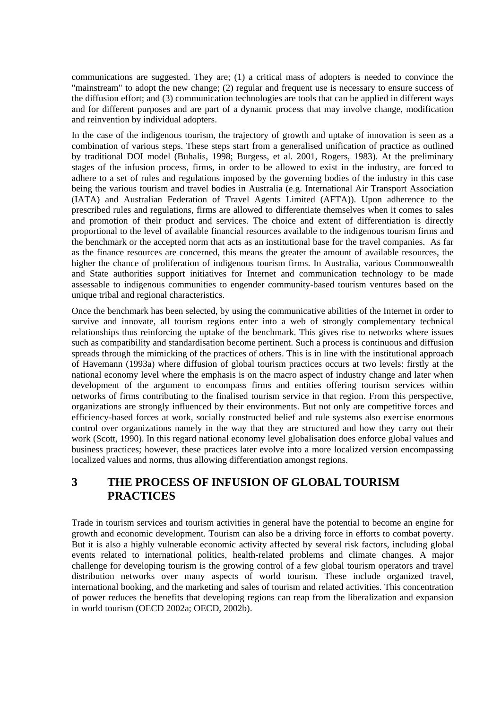communications are suggested. They are; (1) a critical mass of adopters is needed to convince the "mainstream" to adopt the new change; (2) regular and frequent use is necessary to ensure success of the diffusion effort; and (3) communication technologies are tools that can be applied in different ways and for different purposes and are part of a dynamic process that may involve change, modification and reinvention by individual adopters.

In the case of the indigenous tourism, the trajectory of growth and uptake of innovation is seen as a combination of various steps. These steps start from a generalised unification of practice as outlined by traditional DOI model (Buhalis, 1998; Burgess, et al. 2001, Rogers, 1983). At the preliminary stages of the infusion process, firms, in order to be allowed to exist in the industry, are forced to adhere to a set of rules and regulations imposed by the governing bodies of the industry in this case being the various tourism and travel bodies in Australia (e.g. International Air Transport Association (IATA) and Australian Federation of Travel Agents Limited (AFTA)). Upon adherence to the prescribed rules and regulations, firms are allowed to differentiate themselves when it comes to sales and promotion of their product and services. The choice and extent of differentiation is directly proportional to the level of available financial resources available to the indigenous tourism firms and the benchmark or the accepted norm that acts as an institutional base for the travel companies. As far as the finance resources are concerned, this means the greater the amount of available resources, the higher the chance of proliferation of indigenous tourism firms. In Australia, various Commonwealth and State authorities support initiatives for Internet and communication technology to be made assessable to indigenous communities to engender community-based tourism ventures based on the unique tribal and regional characteristics.

Once the benchmark has been selected, by using the communicative abilities of the Internet in order to survive and innovate, all tourism regions enter into a web of strongly complementary technical relationships thus reinforcing the uptake of the benchmark. This gives rise to networks where issues such as compatibility and standardisation become pertinent. Such a process is continuous and diffusion spreads through the mimicking of the practices of others. This is in line with the institutional approach of Havemann (1993a) where diffusion of global tourism practices occurs at two levels: firstly at the national economy level where the emphasis is on the macro aspect of industry change and later when development of the argument to encompass firms and entities offering tourism services within networks of firms contributing to the finalised tourism service in that region. From this perspective, organizations are strongly influenced by their environments. But not only are competitive forces and efficiency-based forces at work, socially constructed belief and rule systems also exercise enormous control over organizations namely in the way that they are structured and how they carry out their work (Scott, 1990). In this regard national economy level globalisation does enforce global values and business practices; however, these practices later evolve into a more localized version encompassing localized values and norms, thus allowing differentiation amongst regions.

# **3 THE PROCESS OF INFUSION OF GLOBAL TOURISM PRACTICES**

Trade in tourism services and tourism activities in general have the potential to become an engine for growth and economic development. Tourism can also be a driving force in efforts to combat poverty. But it is also a highly vulnerable economic activity affected by several risk factors, including global events related to international politics, health-related problems and climate changes. A major challenge for developing tourism is the growing control of a few global tourism operators and travel distribution networks over many aspects of world tourism. These include organized travel, international booking, and the marketing and sales of tourism and related activities. This concentration of power reduces the benefits that developing regions can reap from the liberalization and expansion in world tourism (OECD 2002a; OECD, 2002b).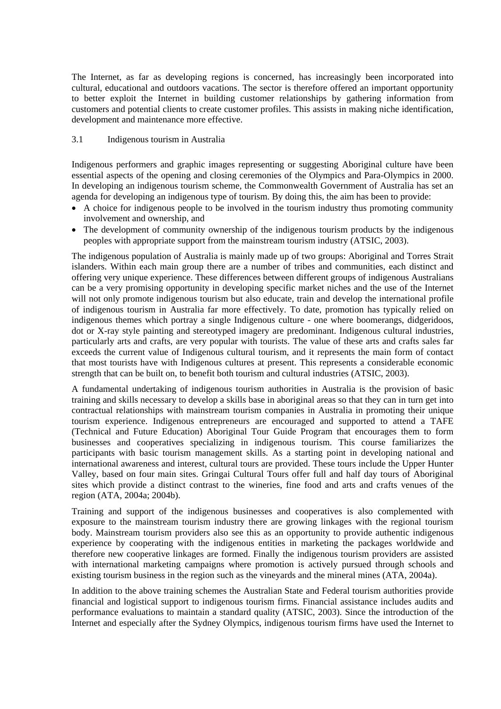The Internet, as far as developing regions is concerned, has increasingly been incorporated into cultural, educational and outdoors vacations. The sector is therefore offered an important opportunity to better exploit the Internet in building customer relationships by gathering information from customers and potential clients to create customer profiles. This assists in making niche identification, development and maintenance more effective.

#### 3.1 Indigenous tourism in Australia

Indigenous performers and graphic images representing or suggesting Aboriginal culture have been essential aspects of the opening and closing ceremonies of the Olympics and Para-Olympics in 2000. In developing an indigenous tourism scheme, the Commonwealth Government of Australia has set an agenda for developing an indigenous type of tourism. By doing this, the aim has been to provide:

- A choice for indigenous people to be involved in the tourism industry thus promoting community involvement and ownership, and
- The development of community ownership of the indigenous tourism products by the indigenous peoples with appropriate support from the mainstream tourism industry (ATSIC, 2003).

The indigenous population of Australia is mainly made up of two groups: Aboriginal and Torres Strait islanders. Within each main group there are a number of tribes and communities, each distinct and offering very unique experience. These differences between different groups of indigenous Australians can be a very promising opportunity in developing specific market niches and the use of the Internet will not only promote indigenous tourism but also educate, train and develop the international profile of indigenous tourism in Australia far more effectively. To date, promotion has typically relied on indigenous themes which portray a single Indigenous culture - one where boomerangs, didgeridoos, dot or X-ray style painting and stereotyped imagery are predominant. Indigenous cultural industries, particularly arts and crafts, are very popular with tourists. The value of these arts and crafts sales far exceeds the current value of Indigenous cultural tourism, and it represents the main form of contact that most tourists have with Indigenous cultures at present. This represents a considerable economic strength that can be built on, to benefit both tourism and cultural industries (ATSIC, 2003).

A fundamental undertaking of indigenous tourism authorities in Australia is the provision of basic training and skills necessary to develop a skills base in aboriginal areas so that they can in turn get into contractual relationships with mainstream tourism companies in Australia in promoting their unique tourism experience. Indigenous entrepreneurs are encouraged and supported to attend a TAFE (Technical and Future Education) Aboriginal Tour Guide Program that encourages them to form businesses and cooperatives specializing in indigenous tourism. This course familiarizes the participants with basic tourism management skills. As a starting point in developing national and international awareness and interest, cultural tours are provided. These tours include the Upper Hunter Valley, based on four main sites. Gringai Cultural Tours offer full and half day tours of Aboriginal sites which provide a distinct contrast to the wineries, fine food and arts and crafts venues of the region (ATA, 2004a; 2004b).

Training and support of the indigenous businesses and cooperatives is also complemented with exposure to the mainstream tourism industry there are growing linkages with the regional tourism body. Mainstream tourism providers also see this as an opportunity to provide authentic indigenous experience by cooperating with the indigenous entities in marketing the packages worldwide and therefore new cooperative linkages are formed. Finally the indigenous tourism providers are assisted with international marketing campaigns where promotion is actively pursued through schools and existing tourism business in the region such as the vineyards and the mineral mines (ATA, 2004a).

In addition to the above training schemes the Australian State and Federal tourism authorities provide financial and logistical support to indigenous tourism firms. Financial assistance includes audits and performance evaluations to maintain a standard quality (ATSIC, 2003). Since the introduction of the Internet and especially after the Sydney Olympics, indigenous tourism firms have used the Internet to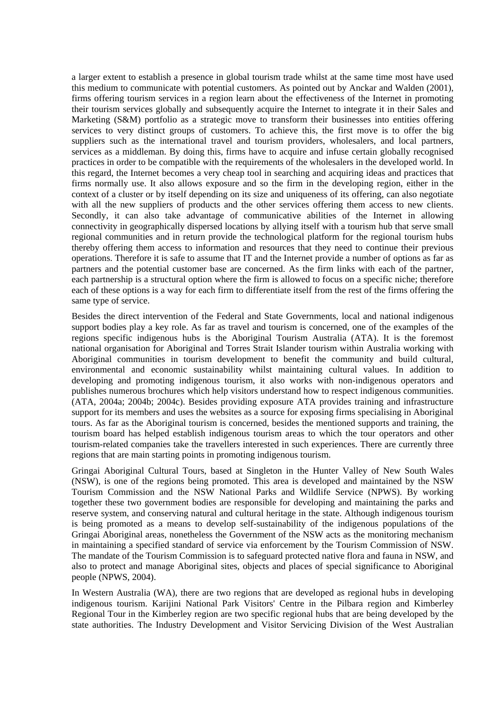a larger extent to establish a presence in global tourism trade whilst at the same time most have used this medium to communicate with potential customers. As pointed out by Anckar and Walden (2001), firms offering tourism services in a region learn about the effectiveness of the Internet in promoting their tourism services globally and subsequently acquire the Internet to integrate it in their Sales and Marketing (S&M) portfolio as a strategic move to transform their businesses into entities offering services to very distinct groups of customers. To achieve this, the first move is to offer the big suppliers such as the international travel and tourism providers, wholesalers, and local partners, services as a middleman. By doing this, firms have to acquire and infuse certain globally recognised practices in order to be compatible with the requirements of the wholesalers in the developed world. In this regard, the Internet becomes a very cheap tool in searching and acquiring ideas and practices that firms normally use. It also allows exposure and so the firm in the developing region, either in the context of a cluster or by itself depending on its size and uniqueness of its offering, can also negotiate with all the new suppliers of products and the other services offering them access to new clients. Secondly, it can also take advantage of communicative abilities of the Internet in allowing connectivity in geographically dispersed locations by allying itself with a tourism hub that serve small regional communities and in return provide the technological platform for the regional tourism hubs thereby offering them access to information and resources that they need to continue their previous operations. Therefore it is safe to assume that IT and the Internet provide a number of options as far as partners and the potential customer base are concerned. As the firm links with each of the partner, each partnership is a structural option where the firm is allowed to focus on a specific niche; therefore each of these options is a way for each firm to differentiate itself from the rest of the firms offering the same type of service.

Besides the direct intervention of the Federal and State Governments, local and national indigenous support bodies play a key role. As far as travel and tourism is concerned, one of the examples of the regions specific indigenous hubs is the Aboriginal Tourism Australia (ATA). It is the foremost national organisation for Aboriginal and Torres Strait Islander tourism within Australia working with Aboriginal communities in tourism development to benefit the community and build cultural, environmental and economic sustainability whilst maintaining cultural values. In addition to developing and promoting indigenous tourism, it also works with non-indigenous operators and publishes numerous brochures which help visitors understand how to respect indigenous communities. (ATA, 2004a; 2004b; 2004c). Besides providing exposure ATA provides training and infrastructure support for its members and uses the websites as a source for exposing firms specialising in Aboriginal tours. As far as the Aboriginal tourism is concerned, besides the mentioned supports and training, the tourism board has helped establish indigenous tourism areas to which the tour operators and other tourism-related companies take the travellers interested in such experiences. There are currently three regions that are main starting points in promoting indigenous tourism.

Gringai Aboriginal Cultural Tours, based at Singleton in the Hunter Valley of New South Wales (NSW), is one of the regions being promoted. This area is developed and maintained by the NSW Tourism Commission and the NSW National Parks and Wildlife Service (NPWS). By working together these two government bodies are responsible for developing and maintaining the parks and reserve system, and conserving natural and cultural heritage in the state. Although indigenous tourism is being promoted as a means to develop self-sustainability of the indigenous populations of the Gringai Aboriginal areas, nonetheless the Government of the NSW acts as the monitoring mechanism in maintaining a specified standard of service via enforcement by the Tourism Commission of NSW. The mandate of the Tourism Commission is to safeguard protected native flora and fauna in NSW, and also to protect and manage Aboriginal sites, objects and places of special significance to Aboriginal people (NPWS, 2004).

In Western Australia (WA), there are two regions that are developed as regional hubs in developing indigenous tourism. Karijini National Park Visitors' Centre in the Pilbara region and Kimberley Regional Tour in the Kimberley region are two specific regional hubs that are being developed by the state authorities. The Industry Development and Visitor Servicing Division of the West Australian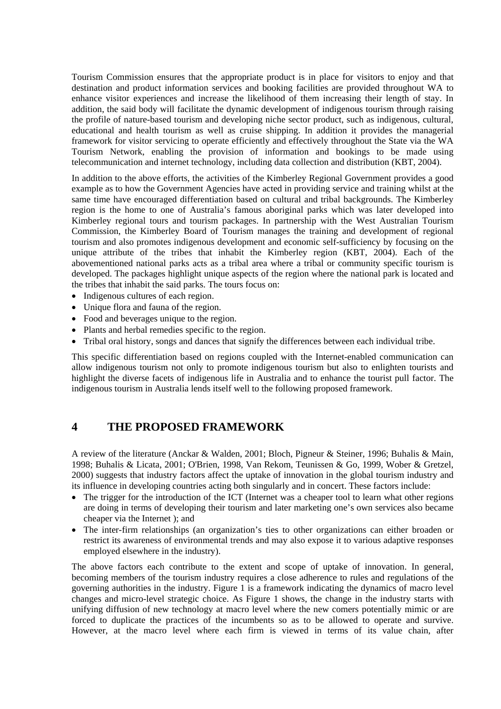Tourism Commission ensures that the appropriate product is in place for visitors to enjoy and that destination and product information services and booking facilities are provided throughout WA to enhance visitor experiences and increase the likelihood of them increasing their length of stay. In addition, the said body will facilitate the dynamic development of indigenous tourism through raising the profile of nature-based tourism and developing niche sector product, such as indigenous, cultural, educational and health tourism as well as cruise shipping. In addition it provides the managerial framework for visitor servicing to operate efficiently and effectively throughout the State via the WA Tourism Network, enabling the provision of information and bookings to be made using telecommunication and internet technology, including data collection and distribution (KBT, 2004).

In addition to the above efforts, the activities of the Kimberley Regional Government provides a good example as to how the Government Agencies have acted in providing service and training whilst at the same time have encouraged differentiation based on cultural and tribal backgrounds. The Kimberley region is the home to one of Australia's famous aboriginal parks which was later developed into Kimberley regional tours and tourism packages. In partnership with the West Australian Tourism Commission, the Kimberley Board of Tourism manages the training and development of regional tourism and also promotes indigenous development and economic self-sufficiency by focusing on the unique attribute of the tribes that inhabit the Kimberley region (KBT, 2004). Each of the abovementioned national parks acts as a tribal area where a tribal or community specific tourism is developed. The packages highlight unique aspects of the region where the national park is located and the tribes that inhabit the said parks. The tours focus on:

- Indigenous cultures of each region.
- Unique flora and fauna of the region.
- Food and beverages unique to the region.
- Plants and herbal remedies specific to the region.
- Tribal oral history, songs and dances that signify the differences between each individual tribe.

This specific differentiation based on regions coupled with the Internet-enabled communication can allow indigenous tourism not only to promote indigenous tourism but also to enlighten tourists and highlight the diverse facets of indigenous life in Australia and to enhance the tourist pull factor. The indigenous tourism in Australia lends itself well to the following proposed framework.

#### **4 THE PROPOSED FRAMEWORK**

A review of the literature (Anckar & Walden, 2001; Bloch, Pigneur & Steiner, 1996; Buhalis & Main, 1998; Buhalis & Licata, 2001; O'Brien, 1998, Van Rekom, Teunissen & Go, 1999, Wober & Gretzel, 2000) suggests that industry factors affect the uptake of innovation in the global tourism industry and its influence in developing countries acting both singularly and in concert. These factors include:

- The trigger for the introduction of the ICT (Internet was a cheaper tool to learn what other regions are doing in terms of developing their tourism and later marketing one's own services also became cheaper via the Internet ); and
- The inter-firm relationships (an organization's ties to other organizations can either broaden or restrict its awareness of environmental trends and may also expose it to various adaptive responses employed elsewhere in the industry).

The above factors each contribute to the extent and scope of uptake of innovation. In general, becoming members of the tourism industry requires a close adherence to rules and regulations of the governing authorities in the industry. Figure 1 is a framework indicating the dynamics of macro level changes and micro-level strategic choice. As Figure 1 shows, the change in the industry starts with unifying diffusion of new technology at macro level where the new comers potentially mimic or are forced to duplicate the practices of the incumbents so as to be allowed to operate and survive. However, at the macro level where each firm is viewed in terms of its value chain, after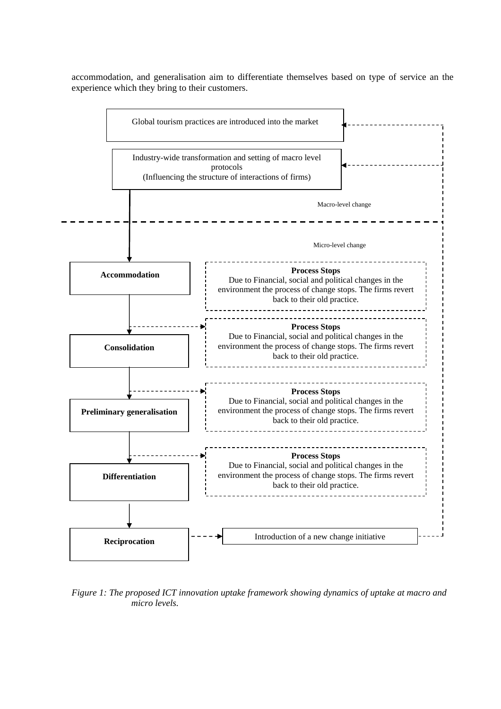accommodation, and generalisation aim to differentiate themselves based on type of service an the experience which they bring to their customers.



*Figure 1: The proposed ICT innovation uptake framework showing dynamics of uptake at macro and micro levels.*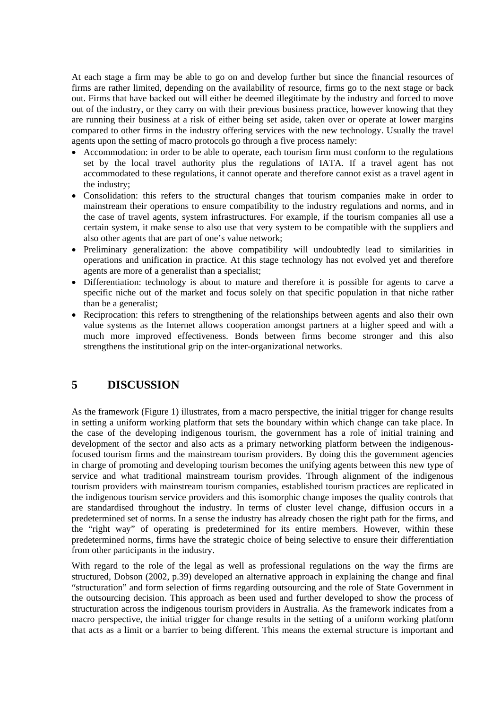At each stage a firm may be able to go on and develop further but since the financial resources of firms are rather limited, depending on the availability of resource, firms go to the next stage or back out. Firms that have backed out will either be deemed illegitimate by the industry and forced to move out of the industry, or they carry on with their previous business practice, however knowing that they are running their business at a risk of either being set aside, taken over or operate at lower margins compared to other firms in the industry offering services with the new technology. Usually the travel agents upon the setting of macro protocols go through a five process namely:

- Accommodation: in order to be able to operate, each tourism firm must conform to the regulations set by the local travel authority plus the regulations of IATA. If a travel agent has not accommodated to these regulations, it cannot operate and therefore cannot exist as a travel agent in the industry;
- Consolidation: this refers to the structural changes that tourism companies make in order to mainstream their operations to ensure compatibility to the industry regulations and norms, and in the case of travel agents, system infrastructures. For example, if the tourism companies all use a certain system, it make sense to also use that very system to be compatible with the suppliers and also other agents that are part of one's value network;
- Preliminary generalization: the above compatibility will undoubtedly lead to similarities in operations and unification in practice. At this stage technology has not evolved yet and therefore agents are more of a generalist than a specialist;
- Differentiation: technology is about to mature and therefore it is possible for agents to carve a specific niche out of the market and focus solely on that specific population in that niche rather than be a generalist;
- Reciprocation: this refers to strengthening of the relationships between agents and also their own value systems as the Internet allows cooperation amongst partners at a higher speed and with a much more improved effectiveness. Bonds between firms become stronger and this also strengthens the institutional grip on the inter-organizational networks.

# **5 DISCUSSION**

As the framework (Figure 1) illustrates, from a macro perspective, the initial trigger for change results in setting a uniform working platform that sets the boundary within which change can take place. In the case of the developing indigenous tourism, the government has a role of initial training and development of the sector and also acts as a primary networking platform between the indigenousfocused tourism firms and the mainstream tourism providers. By doing this the government agencies in charge of promoting and developing tourism becomes the unifying agents between this new type of service and what traditional mainstream tourism provides. Through alignment of the indigenous tourism providers with mainstream tourism companies, established tourism practices are replicated in the indigenous tourism service providers and this isomorphic change imposes the quality controls that are standardised throughout the industry. In terms of cluster level change, diffusion occurs in a predetermined set of norms. In a sense the industry has already chosen the right path for the firms, and the "right way" of operating is predetermined for its entire members. However, within these predetermined norms, firms have the strategic choice of being selective to ensure their differentiation from other participants in the industry.

With regard to the role of the legal as well as professional regulations on the way the firms are structured, Dobson (2002, p.39) developed an alternative approach in explaining the change and final "structuration" and form selection of firms regarding outsourcing and the role of State Government in the outsourcing decision. This approach as been used and further developed to show the process of structuration across the indigenous tourism providers in Australia. As the framework indicates from a macro perspective, the initial trigger for change results in the setting of a uniform working platform that acts as a limit or a barrier to being different. This means the external structure is important and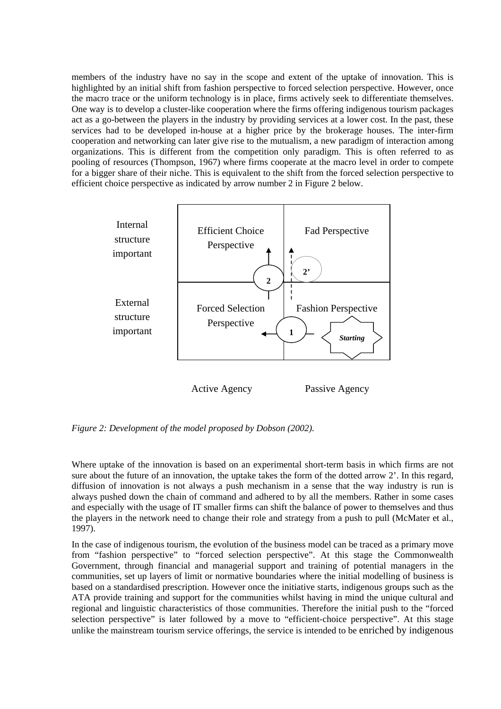members of the industry have no say in the scope and extent of the uptake of innovation. This is highlighted by an initial shift from fashion perspective to forced selection perspective. However, once the macro trace or the uniform technology is in place, firms actively seek to differentiate themselves. One way is to develop a cluster-like cooperation where the firms offering indigenous tourism packages act as a go-between the players in the industry by providing services at a lower cost. In the past, these services had to be developed in-house at a higher price by the brokerage houses. The inter-firm cooperation and networking can later give rise to the mutualism, a new paradigm of interaction among organizations. This is different from the competition only paradigm. This is often referred to as pooling of resources (Thompson, 1967) where firms cooperate at the macro level in order to compete for a bigger share of their niche. This is equivalent to the shift from the forced selection perspective to efficient choice perspective as indicated by arrow number 2 in Figure 2 below.



Active Agency Passive Agency

*Figure 2: Development of the model proposed by Dobson (2002).* 

Where uptake of the innovation is based on an experimental short-term basis in which firms are not sure about the future of an innovation, the uptake takes the form of the dotted arrow 2'. In this regard, diffusion of innovation is not always a push mechanism in a sense that the way industry is run is always pushed down the chain of command and adhered to by all the members. Rather in some cases and especially with the usage of IT smaller firms can shift the balance of power to themselves and thus the players in the network need to change their role and strategy from a push to pull (McMater et al., 1997).

In the case of indigenous tourism, the evolution of the business model can be traced as a primary move from "fashion perspective" to "forced selection perspective". At this stage the Commonwealth Government, through financial and managerial support and training of potential managers in the communities, set up layers of limit or normative boundaries where the initial modelling of business is based on a standardised prescription. However once the initiative starts, indigenous groups such as the ATA provide training and support for the communities whilst having in mind the unique cultural and regional and linguistic characteristics of those communities. Therefore the initial push to the "forced selection perspective" is later followed by a move to "efficient-choice perspective". At this stage unlike the mainstream tourism service offerings, the service is intended to be enriched by indigenous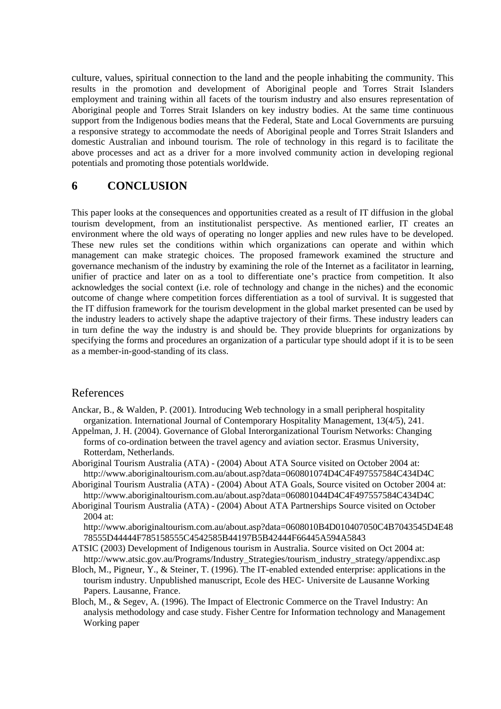culture, values, spiritual connection to the land and the people inhabiting the community. This results in the promotion and development of Aboriginal people and Torres Strait Islanders employment and training within all facets of the tourism industry and also ensures representation of Aboriginal people and Torres Strait Islanders on key industry bodies. At the same time continuous support from the Indigenous bodies means that the Federal, State and Local Governments are pursuing a responsive strategy to accommodate the needs of Aboriginal people and Torres Strait Islanders and domestic Australian and inbound tourism. The role of technology in this regard is to facilitate the above processes and act as a driver for a more involved community action in developing regional potentials and promoting those potentials worldwide.

# **6 CONCLUSION**

This paper looks at the consequences and opportunities created as a result of IT diffusion in the global tourism development, from an institutionalist perspective. As mentioned earlier, IT creates an environment where the old ways of operating no longer applies and new rules have to be developed. These new rules set the conditions within which organizations can operate and within which management can make strategic choices. The proposed framework examined the structure and governance mechanism of the industry by examining the role of the Internet as a facilitator in learning, unifier of practice and later on as a tool to differentiate one's practice from competition. It also acknowledges the social context (i.e. role of technology and change in the niches) and the economic outcome of change where competition forces differentiation as a tool of survival. It is suggested that the IT diffusion framework for the tourism development in the global market presented can be used by the industry leaders to actively shape the adaptive trajectory of their firms. These industry leaders can in turn define the way the industry is and should be. They provide blueprints for organizations by specifying the forms and procedures an organization of a particular type should adopt if it is to be seen as a member-in-good-standing of its class.

#### References

- Anckar, B., & Walden, P. (2001). Introducing Web technology in a small peripheral hospitality organization. International Journal of Contemporary Hospitality Management, 13(4/5), 241.
- Appelman, J. H. (2004). Governance of Global Interorganizational Tourism Networks: Changing forms of co-ordination between the travel agency and aviation sector. Erasmus University, Rotterdam, Netherlands.
- Aboriginal Tourism Australia (ATA) (2004) About ATA Source visited on October 2004 at: http://www.aboriginaltourism.com.au/about.asp?data=060801074D4C4F497557584C434D4C
- Aboriginal Tourism Australia (ATA) (2004) About ATA Goals, Source visited on October 2004 at: http://www.aboriginaltourism.com.au/about.asp?data=060801044D4C4F497557584C434D4C
- Aboriginal Tourism Australia (ATA) (2004) About ATA Partnerships Source visited on October 2004 at:

http://www.aboriginaltourism.com.au/about.asp?data=0608010B4D010407050C4B7043545D4E48 78555D44444F785158555C4542585B44197B5B42444F66445A594A5843

- ATSIC (2003) Development of Indigenous tourism in Australia. Source visited on Oct 2004 at: http://www.atsic.gov.au/Programs/Industry\_Strategies/tourism\_industry\_strategy/appendixc.asp
- Bloch, M., Pigneur, Y., & Steiner, T. (1996). The IT-enabled extended enterprise: applications in the tourism industry. Unpublished manuscript, Ecole des HEC- Universite de Lausanne Working Papers. Lausanne, France.
- Bloch, M., & Segev, A. (1996). The Impact of Electronic Commerce on the Travel Industry: An analysis methodology and case study. Fisher Centre for Information technology and Management Working paper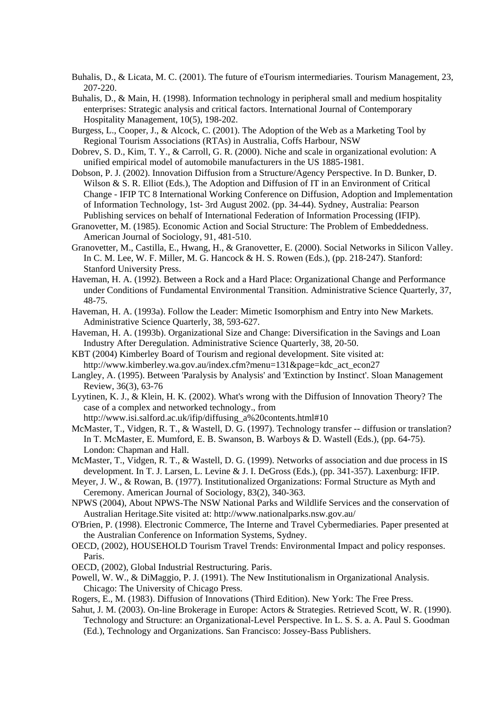- Buhalis, D., & Licata, M. C. (2001). The future of eTourism intermediaries. Tourism Management, 23, 207-220.
- Buhalis, D., & Main, H. (1998). Information technology in peripheral small and medium hospitality enterprises: Strategic analysis and critical factors. International Journal of Contemporary Hospitality Management, 10(5), 198-202.
- Burgess, L., Cooper, J., & Alcock, C. (2001). The Adoption of the Web as a Marketing Tool by Regional Tourism Associations (RTAs) in Australia, Coffs Harbour, NSW
- Dobrev, S. D., Kim, T. Y., & Carroll, G. R. (2000). Niche and scale in organizational evolution: A unified empirical model of automobile manufacturers in the US 1885-1981.
- Dobson, P. J. (2002). Innovation Diffusion from a Structure/Agency Perspective. In D. Bunker, D. Wilson & S. R. Elliot (Eds.), The Adoption and Diffusion of IT in an Environment of Critical Change - IFIP TC 8 International Working Conference on Diffusion, Adoption and Implementation of Information Technology, 1st- 3rd August 2002. (pp. 34-44). Sydney, Australia: Pearson Publishing services on behalf of International Federation of Information Processing (IFIP).
- Granovetter, M. (1985). Economic Action and Social Structure: The Problem of Embeddedness. American Journal of Sociology, 91, 481-510.
- Granovetter, M., Castilla, E., Hwang, H., & Granovetter, E. (2000). Social Networks in Silicon Valley. In C. M. Lee, W. F. Miller, M. G. Hancock & H. S. Rowen (Eds.), (pp. 218-247). Stanford: Stanford University Press.
- Haveman, H. A. (1992). Between a Rock and a Hard Place: Organizational Change and Performance under Conditions of Fundamental Environmental Transition. Administrative Science Quarterly, 37, 48-75.
- Haveman, H. A. (1993a). Follow the Leader: Mimetic Isomorphism and Entry into New Markets. Administrative Science Quarterly, 38, 593-627.
- Haveman, H. A. (1993b). Organizational Size and Change: Diversification in the Savings and Loan Industry After Deregulation. Administrative Science Quarterly, 38, 20-50.
- KBT (2004) Kimberley Board of Tourism and regional development. Site visited at: http://www.kimberley.wa.gov.au/index.cfm?menu=131&page=kdc\_act\_econ27
- Langley, A. (1995). Between 'Paralysis by Analysis' and 'Extinction by Instinct'. Sloan Management Review, 36(3), 63-76
- Lyytinen, K. J., & Klein, H. K. (2002). What's wrong with the Diffusion of Innovation Theory? The case of a complex and networked technology., from http://www.isi.salford.ac.uk/ifip/diffusing\_a%20contents.html#10
- McMaster, T., Vidgen, R. T., & Wastell, D. G. (1997). Technology transfer -- diffusion or translation? In T. McMaster, E. Mumford, E. B. Swanson, B. Warboys & D. Wastell (Eds.), (pp. 64-75). London: Chapman and Hall.
- McMaster, T., Vidgen, R. T., & Wastell, D. G. (1999). Networks of association and due process in IS development. In T. J. Larsen, L. Levine & J. I. DeGross (Eds.), (pp. 341-357). Laxenburg: IFIP.
- Meyer, J. W., & Rowan, B. (1977). Institutionalized Organizations: Formal Structure as Myth and Ceremony. American Journal of Sociology, 83(2), 340-363.
- NPWS (2004), About NPWS-The NSW National Parks and Wildlife Services and the conservation of Australian Heritage.Site visited at: http://www.nationalparks.nsw.gov.au/
- O'Brien, P. (1998). Electronic Commerce, The Interne and Travel Cybermediaries. Paper presented at the Australian Conference on Information Systems, Sydney.
- OECD, (2002), HOUSEHOLD Tourism Travel Trends: Environmental Impact and policy responses. Paris.
- OECD, (2002), Global Industrial Restructuring. Paris.
- Powell, W. W., & DiMaggio, P. J. (1991). The New Institutionalism in Organizational Analysis. Chicago: The University of Chicago Press.
- Rogers, E., M. (1983). Diffusion of Innovations (Third Edition). New York: The Free Press.
- Sahut, J. M. (2003). On-line Brokerage in Europe: Actors & Strategies. Retrieved Scott, W. R. (1990). Technology and Structure: an Organizational-Level Perspective. In L. S. S. a. A. Paul S. Goodman (Ed.), Technology and Organizations. San Francisco: Jossey-Bass Publishers.